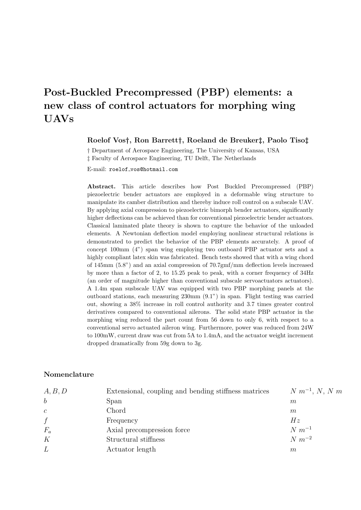# Post-Buckled Precompressed (PBP) elements: a new class of control actuators for morphing wing UAVs

#### Roelof Vos†, Ron Barrett†, Roeland de Breuker‡, Paolo Tiso‡

† Department of Aerospace Engineering, The University of Kansas, USA ‡ Faculty of Aerospace Engineering, TU Delft, The Netherlands

E-mail: roelof vos@hotmail.com

Abstract. This article describes how Post Buckled Precompressed (PBP) piezoelectric bender actuators are employed in a deformable wing structure to manipulate its camber distribution and thereby induce roll control on a subscale UAV. By applying axial compression to piezoelectric bimorph bender actuators, significantly higher deflections can be achieved than for conventional piezoelectric bender actuators. Classical laminated plate theory is shown to capture the behavior of the unloaded elements. A Newtonian deflection model employing nonlinear structural relations is demonstrated to predict the behavior of the PBP elements accurately. A proof of concept 100mm (4") span wing employing two outboard PBP actuator sets and a highly compliant latex skin was fabricated. Bench tests showed that with a wing chord of 145mm (5.8") and an axial compression of 70.7gmf/mm deflection levels increased by more than a factor of 2, to 15.25 peak to peak, with a corner frequency of 34Hz (an order of magnitude higher than conventional subscale servoactuators actuators). A 1.4m span susbscale UAV was equipped with two PBP morphing panels at the outboard stations, each measuring 230mm (9.1") in span. Flight testing was carried out, showing a 38% increase in roll control authority and 3.7 times greater control derivatives compared to conventional ailerons. The solid state PBP actuator in the morphing wing reduced the part count from 56 down to only 6, with respect to a conventional servo actuated aileron wing. Furthermore, power was reduced from 24W to 100mW, current draw was cut from 5A to 1.4mA, and the actuator weight increment dropped dramatically from 59g down to 3g.

#### Nomenclature

| A, B, D       | Extensional, coupling and bending stiffness matrices | $N m^{-1}$ , N, N m |
|---------------|------------------------------------------------------|---------------------|
| $\mathfrak b$ | Span                                                 | m                   |
| $\mathcal{C}$ | Chord                                                | m                   |
| f             | Frequency                                            | Hz                  |
| $F_a$         | Axial precompression force                           | $N m^{-1}$          |
| K             | Structural stiffness                                 | $N m^{-2}$          |
| L             | Actuator length                                      | m                   |
|               |                                                      |                     |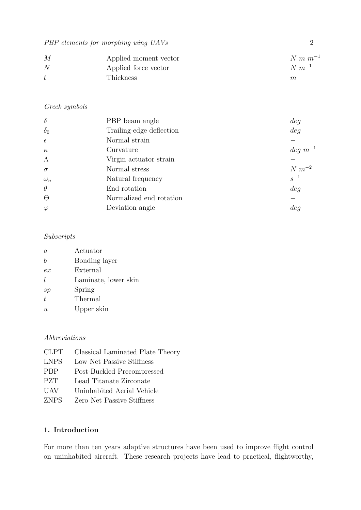| M | Applied moment vector | $N m m^{-1}$ |
|---|-----------------------|--------------|
| N | Applied force vector  | $N m^{-1}$   |
| ŧ | Thickness             | $\,m$        |

# Greek symbols

| $\delta$   | PBP beam angle           | deg           |
|------------|--------------------------|---------------|
| $\delta_0$ | Trailing-edge deflection | deg           |
| $\epsilon$ | Normal strain            |               |
| $\kappa$   | Curvature                | $deg\ m^{-1}$ |
| $\Lambda$  | Virgin actuator strain   |               |
| $\sigma$   | Normal stress            | $N m^{-2}$    |
| $\omega_n$ | Natural frequency        | $\,s^{-1}\,$  |
| $\theta$   | End rotation             | deg           |
| $\Theta$   | Normalized end rotation  |               |
| $\varphi$  | Deviation angle          | deq           |

## Subscripts

| $\alpha$       | Actuator             |
|----------------|----------------------|
| h              | Bonding layer        |
| ex             | External             |
| L              | Laminate, lower skin |
| sp             | Spring               |
| $\overline{t}$ | Thermal              |
| u              | Upper skin           |

## Abbreviations

| <b>CLPT</b> | Classical Laminated Plate Theory |
|-------------|----------------------------------|
| <b>LNPS</b> | Low Net Passive Stiffness        |
| <b>PBP</b>  | Post-Buckled Precompressed       |
| <b>PZT</b>  | Lead Titanate Zirconate          |
| <b>UAV</b>  | Uninhabited Aerial Vehicle       |
| <b>ZNPS</b> | Zero Net Passive Stiffness       |

# 1. Introduction

For more than ten years adaptive structures have been used to improve flight control on uninhabited aircraft. These research projects have lead to practical, flightworthy,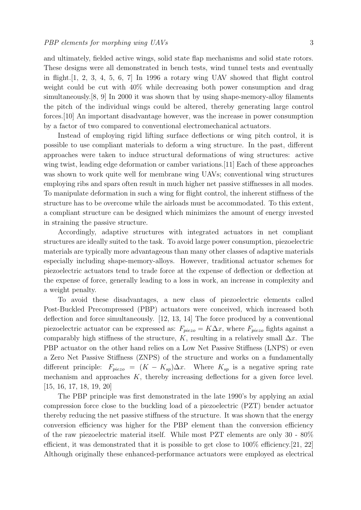and ultimately, fielded active wings, solid state flap mechanisms and solid state rotors. These designs were all demonstrated in bench tests, wind tunnel tests and eventually in flight.[1, 2, 3, 4, 5, 6, 7] In 1996 a rotary wing UAV showed that flight control weight could be cut with 40% while decreasing both power consumption and drag simultaneously.[8, 9] In 2000 it was shown that by using shape-memory-alloy filaments the pitch of the individual wings could be altered, thereby generating large control forces.[10] An important disadvantage however, was the increase in power consumption by a factor of two compared to conventional electromechanical actuators.

Instead of employing rigid lifting surface deflections or wing pitch control, it is possible to use compliant materials to deform a wing structure. In the past, different approaches were taken to induce structural deformations of wing structures: active wing twist, leading edge deformation or camber variations.[11] Each of these approaches was shown to work quite well for membrane wing UAVs; conventional wing structures employing ribs and spars often result in much higher net passive stiffnesses in all modes. To manipulate deformation in such a wing for flight control, the inherent stiffness of the structure has to be overcome while the airloads must be accommodated. To this extent, a compliant structure can be designed which minimizes the amount of energy invested in straining the passive structure.

Accordingly, adaptive structures with integrated actuators in net compliant structures are ideally suited to the task. To avoid large power consumption, piezoelectric materials are typically more advantageous than many other classes of adaptive materials especially including shape-memory-alloys. However, traditional actuator schemes for piezoelectric actuators tend to trade force at the expense of deflection or deflection at the expense of force, generally leading to a loss in work, an increase in complexity and a weight penalty.

To avoid these disadvantages, a new class of piezoelectric elements called Post-Buckled Precompressed (PBP) actuators were conceived, which increased both deflection and force simultaneously. [12, 13, 14] The force produced by a conventional piezoelectric actuator can be expressed as:  $F_{piezo} = K\Delta x$ , where  $F_{piezo}$  fights against a comparably high stiffness of the structure, K, resulting in a relatively small  $\Delta x$ . The PBP actuator on the other hand relies on a Low Net Passive Stiffness (LNPS) or even a Zero Net Passive Stiffness (ZNPS) of the structure and works on a fundamentally different principle:  $F_{piezo} = (K - K_{sp})\Delta x$ . Where  $K_{sp}$  is a negative spring rate mechanism and approaches K, thereby increasing deflections for a given force level. [15, 16, 17, 18, 19, 20]

The PBP principle was first demonstrated in the late 1990's by applying an axial compression force close to the buckling load of a piezoelectric (PZT) bender actuator thereby reducing the net passive stiffness of the structure. It was shown that the energy conversion efficiency was higher for the PBP element than the conversion efficiency of the raw piezoelectric material itself. While most PZT elements are only 30 - 80% efficient, it was demonstrated that it is possible to get close to  $100\%$  efficiency. [21, 22] Although originally these enhanced-performance actuators were employed as electrical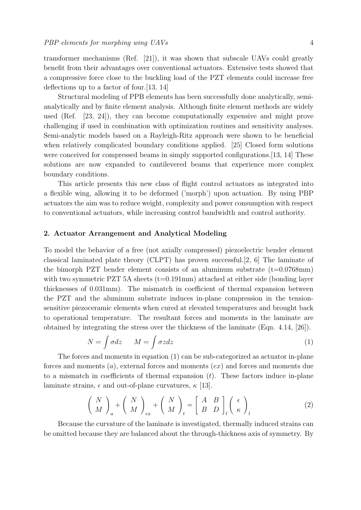transformer mechanisms (Ref. [21]), it was shown that subscale UAVs could greatly benefit from their advantages over conventional actuators. Extensive tests showed that a compressive force close to the buckling load of the PZT elements could increase free deflections up to a factor of four.[13, 14]

Structural modeling of PPB elements has been successfully done analytically, semianalytically and by finite element analysis. Although finite element methods are widely used (Ref. [23, 24]), they can become computationally expensive and might prove challenging if used in combination with optimization routines and sensitivity analyses. Semi-analytic models based on a Rayleigh-Ritz approach were shown to be beneficial when relatively complicated boundary conditions applied. [25] Closed form solutions were conceived for compressed beams in simply supported configurations.[13, 14] These solutions are now expanded to cantilevered beams that experience more complex boundary conditions.

This article presents this new class of flight control actuators as integrated into a flexible wing, allowing it to be deformed ('morph') upon actuation. By using PBP actuators the aim was to reduce weight, complexity and power consumption with respect to conventional actuators, while increasing control bandwidth and control authority.

#### 2. Actuator Arrangement and Analytical Modeling

To model the behavior of a free (not axially compressed) piezoelectric bender element classical laminated plate theory (CLPT) has proven successful.[2, 6] The laminate of the bimorph PZT bender element consists of an aluminum substrate  $(t=0.0768$ mm) with two symmetric PZT 5A sheets  $(t=0.191 \text{mm})$  attached at either side (bonding layer thicknesses of 0.031mm). The mismatch in coefficient of thermal expansion between the PZT and the aluminum substrate induces in-plane compression in the tensionsensitive piezoceramic elements when cured at elevated temperatures and brought back to operational temperature. The resultant forces and moments in the laminate are obtained by integrating the stress over the thickness of the laminate (Eqn. 4.14, [26]).

$$
N = \int \sigma dz \qquad M = \int \sigma z dz \tag{1}
$$

The forces and moments in equation (1) can be sub-categorized as actuator in-plane forces and moments  $(a)$ , external forces and moments  $(ex)$  and forces and moments due to a mismatch in coefficients of thermal expansion  $(t)$ . These factors induce in-plane laminate strains,  $\epsilon$  and out-of-plane curvatures,  $\kappa$  [13].

$$
\left(\begin{array}{c}N\\M\end{array}\right)_a + \left(\begin{array}{c}N\\M\end{array}\right)_{ex} + \left(\begin{array}{c}N\\M\end{array}\right)_t = \left[\begin{array}{cc}A & B\\B & D\end{array}\right]_l \left(\begin{array}{c}\epsilon\\ \kappa\end{array}\right)_l \tag{2}
$$

Because the curvature of the laminate is investigated, thermally induced strains can be omitted because they are balanced about the through-thickness axis of symmetry. By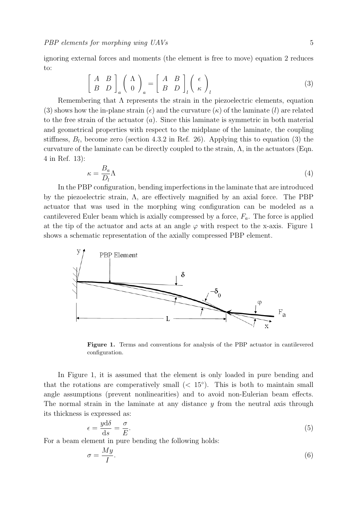ignoring external forces and moments (the element is free to move) equation 2 reduces to: "  $\overline{a}$ !<br>. .<br> $^{\circ}$  $\overline{a}$ !<br>.

$$
\left[\begin{array}{cc} A & B \\ B & D \end{array}\right]_a \left(\begin{array}{c} \Lambda \\ 0 \end{array}\right)_a = \left[\begin{array}{cc} A & B \\ B & D \end{array}\right]_l \left(\begin{array}{c} \epsilon \\ \kappa \end{array}\right)_l \tag{3}
$$

Remembering that  $\Lambda$  represents the strain in the piezoelectric elements, equation (3) shows how the in-plane strain  $(\epsilon)$  and the curvature  $(\kappa)$  of the laminate (l) are related to the free strain of the actuator  $(a)$ . Since this laminate is symmetric in both material and geometrical properties with respect to the midplane of the laminate, the coupling stiffness,  $B_l$ , become zero (section 4.3.2 in Ref. 26). Applying this to equation (3) the curvature of the laminate can be directly coupled to the strain,  $\Lambda$ , in the actuators (Eqn. 4 in Ref. 13):

$$
\kappa = \frac{B_a}{D_l} \Lambda \tag{4}
$$

In the PBP configuration, bending imperfections in the laminate that are introduced by the piezoelectric strain, Λ, are effectively magnified by an axial force. The PBP actuator that was used in the morphing wing configuration can be modeled as a cantilevered Euler beam which is axially compressed by a force,  $F_a$ . The force is applied at the tip of the actuator and acts at an angle  $\varphi$  with respect to the x-axis. Figure 1 shows a schematic representation of the axially compressed PBP element.



Figure 1. Terms and conventions for analysis of the PBP actuator in cantilevered configuration.

In Figure 1, it is assumed that the element is only loaded in pure bending and that the rotations are comperatively small  $( $15^{\circ}$ ). This is both to maintain small$ angle assumptions (prevent nonlinearities) and to avoid non-Eulerian beam effects. The normal strain in the laminate at any distance  $\gamma$  from the neutral axis through its thickness is expressed as:

$$
\epsilon = \frac{y \mathrm{d}\delta}{\mathrm{d}s} = \frac{\sigma}{E}.\tag{5}
$$

For a beam element in pure bending the following holds:

$$
\sigma = \frac{My}{I}.\tag{6}
$$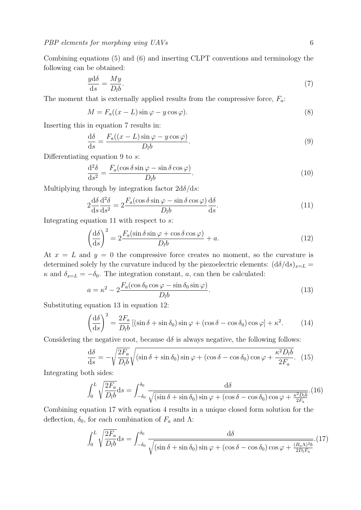Combining equations (5) and (6) and inserting CLPT conventions and terminology the following can be obtained:

$$
\frac{y\mathrm{d}\delta}{\mathrm{d}s} = \frac{My}{D_l b}.\tag{7}
$$

The moment that is externally applied results from the compressive force,  $F_a$ :

$$
M = F_a((x - L)\sin\varphi - y\cos\varphi). \tag{8}
$$

Inserting this in equation 7 results in:

$$
\frac{\mathrm{d}\delta}{\mathrm{d}s} = \frac{F_a((x - L)\sin\varphi - y\cos\varphi)}{D_l b}.\tag{9}
$$

Differentiating equation 9 to  $s$ :

$$
\frac{\mathrm{d}^2 \delta}{\mathrm{d}s^2} = \frac{F_a(\cos \delta \sin \varphi - \sin \delta \cos \varphi)}{D_l b}.
$$
\n(10)

Multiplying through by integration factor  $2d\delta/ds$ :

$$
2\frac{\mathrm{d}\delta}{\mathrm{d}s}\frac{\mathrm{d}^2\delta}{\mathrm{d}s^2} = 2\frac{F_a(\cos\delta\sin\varphi - \sin\delta\cos\varphi)}{D_l b}\frac{\mathrm{d}\delta}{\mathrm{d}s}.\tag{11}
$$

Integrating equation 11 with respect to s:

$$
\left(\frac{\mathrm{d}\delta}{\mathrm{d}s}\right)^2 = 2\frac{F_a(\sin\delta\sin\varphi + \cos\delta\cos\varphi)}{D_l b} + a.\tag{12}
$$

At  $x = L$  and  $y = 0$  the compressive force creates no moment, so the curvature is determined solely by the curvature induced by the piezoelectric elements:  $(d\delta/ds)_{x=L}$  $\kappa$  and  $\delta_{x=L} = -\delta_0$ . The integration constant, a, can then be calculated:

$$
a = \kappa^2 - 2 \frac{F_a(\cos \delta_0 \cos \varphi - \sin \delta_0 \sin \varphi)}{D_l b}.
$$
\n(13)

Substituting equation 13 in equation 12:

$$
\left(\frac{\mathrm{d}\delta}{\mathrm{d}s}\right)^2 = \frac{2F_a}{D_l b} \left[ (\sin\delta + \sin\delta_0) \sin\varphi + (\cos\delta - \cos\delta_0) \cos\varphi \right] + \kappa^2. \tag{14}
$$

Considering the negative root, because  $d\delta$  is always negative, the following follows:

$$
\frac{d\delta}{ds} = -\sqrt{\frac{2F_a}{D_l b}} \sqrt{\left(\sin \delta + \sin \delta_0\right) \sin \varphi + \left(\cos \delta - \cos \delta_0\right) \cos \varphi + \frac{\kappa^2 D_l b}{2F_a}}.\tag{15}
$$

Integrating both sides:

$$
\int_0^L \sqrt{\frac{2F_a}{D_l b}} ds = \int_{-\delta_0}^{\delta_0} \frac{d\delta}{\sqrt{(\sin \delta + \sin \delta_0) \sin \varphi + (\cos \delta - \cos \delta_0) \cos \varphi + \frac{\kappa^2 D_l b}{2F_a}}} \cdot (16)
$$

Combining equation 17 with equation 4 results in a unique closed form solution for the deflection,  $\delta_0$ , for each combination of  $F_a$  and  $\Lambda$ :

$$
\int_0^L \sqrt{\frac{2F_a}{D_l b}} ds = \int_{-\delta_0}^{\delta_0} \frac{d\delta}{\sqrt{(\sin \delta + \sin \delta_0) \sin \varphi + (\cos \delta - \cos \delta_0) \cos \varphi + \frac{(B_a \Lambda)^2 b}{2D_l F_a}}}.
$$
(17)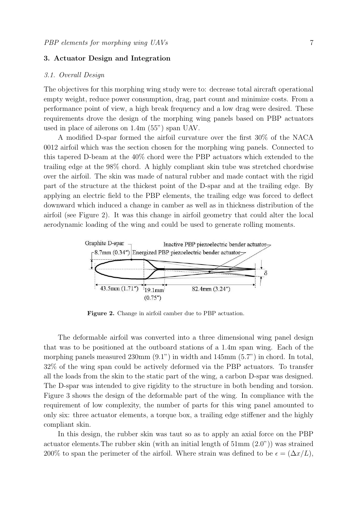## 3. Actuator Design and Integration

#### 3.1. Overall Design

The objectives for this morphing wing study were to: decrease total aircraft operational empty weight, reduce power consumption, drag, part count and minimize costs. From a performance point of view, a high break frequency and a low drag were desired. These requirements drove the design of the morphing wing panels based on PBP actuators used in place of ailerons on 1.4m (55") span UAV.

A modified D-spar formed the airfoil curvature over the first 30% of the NACA 0012 airfoil which was the section chosen for the morphing wing panels. Connected to this tapered D-beam at the 40% chord were the PBP actuators which extended to the trailing edge at the 98% chord. A highly compliant skin tube was stretched chordwise over the airfoil. The skin was made of natural rubber and made contact with the rigid part of the structure at the thickest point of the D-spar and at the trailing edge. By applying an electric field to the PBP elements, the trailing edge was forced to deflect downward which induced a change in camber as well as in thickness distribution of the airfoil (see Figure 2). It was this change in airfoil geometry that could alter the local aerodynamic loading of the wing and could be used to generate rolling moments.



Figure 2. Change in airfoil camber due to PBP actuation.

The deformable airfoil was converted into a three dimensional wing panel design that was to be positioned at the outboard stations of a 1.4m span wing. Each of the morphing panels measured 230mm (9.1") in width and 145mm (5.7") in chord. In total, 32% of the wing span could be actively deformed via the PBP actuators. To transfer all the loads from the skin to the static part of the wing, a carbon D-spar was designed. The D-spar was intended to give rigidity to the structure in both bending and torsion. Figure 3 shows the design of the deformable part of the wing. In compliance with the requirement of low complexity, the number of parts for this wing panel amounted to only six: three actuator elements, a torque box, a trailing edge stiffener and the highly compliant skin.

In this design, the rubber skin was taut so as to apply an axial force on the PBP actuator elements. The rubber skin (with an initial length of  $51 \text{mm}$   $(2.0")$ ) was strained 200% to span the perimeter of the airfoil. Where strain was defined to be  $\epsilon = (\Delta x/L)$ ,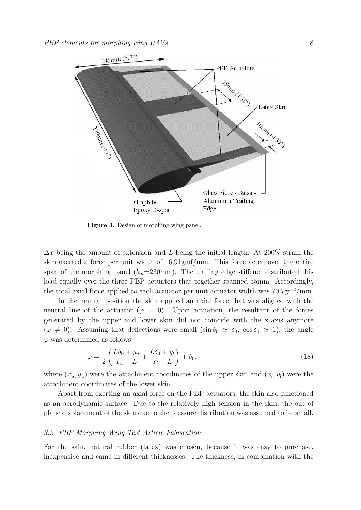

Figure 3. Design of morphing wing panel.

 $\Delta x$  being the amount of extension and L being the initial length. At 200% strain the skin exerted a force per unit width of 16.91gmf/mm. This force acted over the entire span of the morphing panel  $(b_m=230\text{mm})$ . The trailing edge stiffener distributed this load equally over the three PBP actuators that together spanned 55mm. Accordingly, the total axial force applied to each actuator per unit actuator width was 70.7gmf/mm.

In the neutral position the skin applied an axial force that was aligned with the neutral line of the actuator ( $\varphi = 0$ ). Upon actuation, the resultant of the forces generated by the upper and lower skin did not coincide with the x-axis anymore  $(\varphi \neq 0)$ . Assuming that deflections were small  $(\sin \delta_0 \simeq \delta_0, \cos \delta_0 \simeq 1)$ , the angle  $\varphi$  was determined as follows:

$$
\varphi = \frac{1}{2} \left( \frac{L\delta_0 + y_u}{x_u - L} + \frac{L\delta_0 + y_l}{x_l - L} \right) + \delta_0; \tag{18}
$$

where  $(x_u, y_u)$  were the attachment coordinates of the upper skin and  $(x_l, y_l)$  were the attachment coordinates of the lower skin.

Apart from exerting an axial force on the PBP actuators, the skin also functioned as an aerodynamic surface. Due to the relatively high tension in the skin, the out of plane displacement of the skin due to the pressure distribution was assumed to be small.

#### 3.2. PBP Morphing Wing Test Article Fabrication

For the skin, natural rubber (latex) was chosen, because it was easy to purchase, inexpensive and came in different thicknesses. The thickness, in combination with the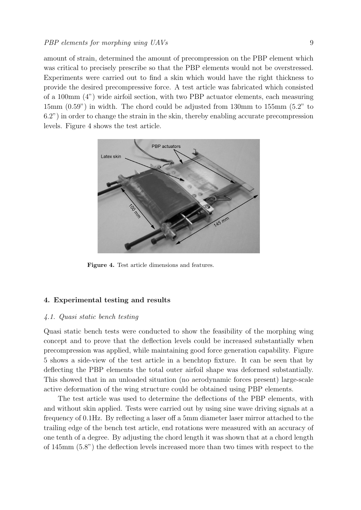#### PBP elements for morphing wing UAVs 9

amount of strain, determined the amount of precompression on the PBP element which was critical to precisely prescribe so that the PBP elements would not be overstressed. Experiments were carried out to find a skin which would have the right thickness to provide the desired precompressive force. A test article was fabricated which consisted of a 100mm (4") wide airfoil section, with two PBP actuator elements, each measuring 15mm (0.59") in width. The chord could be adjusted from 130mm to 155mm (5.2" to 6.2") in order to change the strain in the skin, thereby enabling accurate precompression levels. Figure 4 shows the test article.



Figure 4. Test article dimensions and features.

#### 4. Experimental testing and results

#### 4.1. Quasi static bench testing

Quasi static bench tests were conducted to show the feasibility of the morphing wing concept and to prove that the deflection levels could be increased substantially when precompression was applied, while maintaining good force generation capability. Figure 5 shows a side-view of the test article in a benchtop fixture. It can be seen that by deflecting the PBP elements the total outer airfoil shape was deformed substantially. This showed that in an unloaded situation (no aerodynamic forces present) large-scale active deformation of the wing structure could be obtained using PBP elements.

The test article was used to determine the deflections of the PBP elements, with and without skin applied. Tests were carried out by using sine wave driving signals at a frequency of 0.1Hz. By reflecting a laser off a 5mm diameter laser mirror attached to the trailing edge of the bench test article, end rotations were measured with an accuracy of one tenth of a degree. By adjusting the chord length it was shown that at a chord length of 145mm (5.8") the deflection levels increased more than two times with respect to the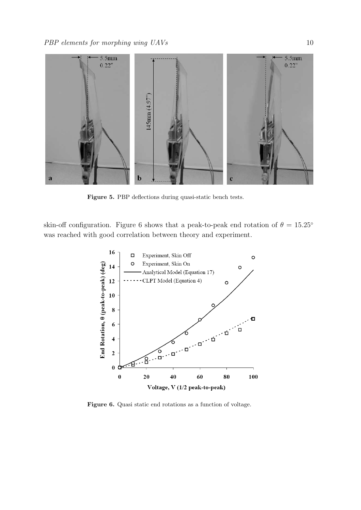

Figure 5. PBP deflections during quasi-static bench tests.

skin-off configuration. Figure 6 shows that a peak-to-peak end rotation of  $\theta = 15.25^{\circ}$ was reached with good correlation between theory and experiment.



Figure 6. Quasi static end rotations as a function of voltage.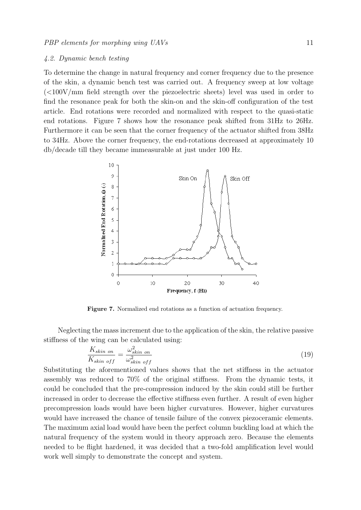#### 4.2. Dynamic bench testing

To determine the change in natural frequency and corner frequency due to the presence of the skin, a dynamic bench test was carried out. A frequency sweep at low voltage (<100V/mm field strength over the piezoelectric sheets) level was used in order to find the resonance peak for both the skin-on and the skin-off configuration of the test article. End rotations were recorded and normalized with respect to the quasi-static end rotations. Figure 7 shows how the resonance peak shifted from 31Hz to 26Hz. Furthermore it can be seen that the corner frequency of the actuator shifted from 38Hz to 34Hz. Above the corner frequency, the end-rotations decreased at approximately 10 db/decade till they became immeasurable at just under 100 Hz.



Figure 7. Normalized end rotations as a function of actuation frequency.

Neglecting the mass increment due to the application of the skin, the relative passive stiffness of the wing can be calculated using:

$$
\frac{K_{skin\;on}}{K_{skin\;off}} = \frac{\omega_{skin\;on}^2}{\omega_{skin\;off}^2} \tag{19}
$$

Substituting the aforementioned values shows that the net stiffness in the actuator assembly was reduced to 70% of the original stiffness. From the dynamic tests, it could be concluded that the pre-compression induced by the skin could still be further increased in order to decrease the effective stiffness even further. A result of even higher precompression loads would have been higher curvatures. However, higher curvatures would have increased the chance of tensile failure of the convex piezoceramic elements. The maximum axial load would have been the perfect column buckling load at which the natural frequency of the system would in theory approach zero. Because the elements needed to be flight hardened, it was decided that a two-fold amplification level would work well simply to demonstrate the concept and system.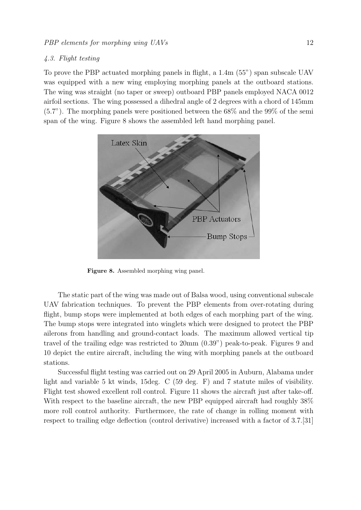### 4.3. Flight testing

To prove the PBP actuated morphing panels in flight, a 1.4m (55") span subscale UAV was equipped with a new wing employing morphing panels at the outboard stations. The wing was straight (no taper or sweep) outboard PBP panels employed NACA 0012 airfoil sections. The wing possessed a dihedral angle of 2 degrees with a chord of 145mm (5.7"). The morphing panels were positioned between the 68% and the 99% of the semi span of the wing. Figure 8 shows the assembled left hand morphing panel.



Figure 8. Assembled morphing wing panel.

The static part of the wing was made out of Balsa wood, using conventional subscale UAV fabrication techniques. To prevent the PBP elements from over-rotating during flight, bump stops were implemented at both edges of each morphing part of the wing. The bump stops were integrated into winglets which were designed to protect the PBP ailerons from handling and ground-contact loads. The maximum allowed vertical tip travel of the trailing edge was restricted to 20mm (0.39") peak-to-peak. Figures 9 and 10 depict the entire aircraft, including the wing with morphing panels at the outboard stations.

Successful flight testing was carried out on 29 April 2005 in Auburn, Alabama under light and variable 5 kt winds, 15deg. C (59 deg. F) and 7 statute miles of visibility. Flight test showed excellent roll control. Figure 11 shows the aircraft just after take-off. With respect to the baseline aircraft, the new PBP equipped aircraft had roughly 38% more roll control authority. Furthermore, the rate of change in rolling moment with respect to trailing edge deflection (control derivative) increased with a factor of 3.7.[31]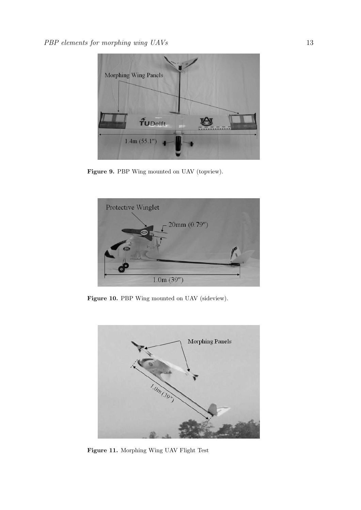

Figure 9. PBP Wing mounted on UAV (topview).



Figure 10. PBP Wing mounted on UAV (sideview).



Figure 11. Morphing Wing UAV Flight Test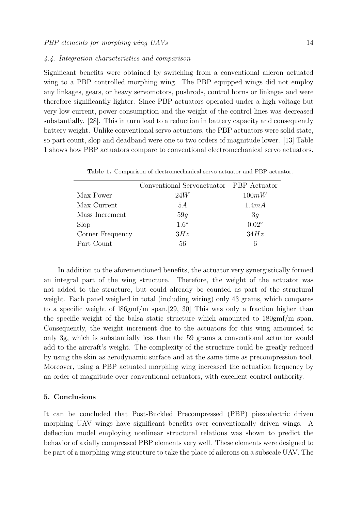#### 4.4. Integration characteristics and comparison

Significant benefits were obtained by switching from a conventional aileron actuated wing to a PBP controlled morphing wing. The PBP equipped wings did not employ any linkages, gears, or heavy servomotors, pushrods, control horns or linkages and were therefore significantly lighter. Since PBP actuators operated under a high voltage but very low current, power consumption and the weight of the control lines was decreased substantially. [28]. This in turn lead to a reduction in battery capacity and consequently battery weight. Unlike conventional servo actuators, the PBP actuators were solid state, so part count, slop and deadband were one to two orders of magnitude lower. [13] Table 1 shows how PBP actuators compare to conventional electromechanical servo actuators.

|                  | Conventional Servoactuator PBP Actuator |                |
|------------------|-----------------------------------------|----------------|
| Max Power        | 24W                                     | 100mW          |
| Max Current      | 5А                                      | 1.4mA          |
| Mass Increment   | 59q                                     | 3g             |
| Slop             | $1.6^\circ$                             | $0.02^{\circ}$ |
| Corner Frequency | 3Hz                                     | 34Hz           |
| Part Count       | 56                                      | 6              |

Table 1. Comparison of electromechanical servo actuator and PBP actuator.

In addition to the aforementioned benefits, the actuator very synergistically formed an integral part of the wing structure. Therefore, the weight of the actuator was not added to the structure, but could already be counted as part of the structural weight. Each panel weighed in total (including wiring) only 43 grams, which compares to a specific weight of l86gmf/m span.[29, 30] This was only a fraction higher than the specific weight of the balsa static structure which amounted to 180gmf/m span. Consequently, the weight increment due to the actuators for this wing amounted to only 3g, which is substantially less than the 59 grams a conventional actuator would add to the aircraft's weight. The complexity of the structure could be greatly reduced by using the skin as aerodynamic surface and at the same time as precompression tool. Moreover, using a PBP actuated morphing wing increased the actuation frequency by an order of magnitude over conventional actuators, with excellent control authority.

#### 5. Conclusions

It can be concluded that Post-Buckled Precompressed (PBP) piezoelectric driven morphing UAV wings have significant benefits over conventionally driven wings. A deflection model employing nonlinear structural relations was shown to predict the behavior of axially compressed PBP elements very well. These elements were designed to be part of a morphing wing structure to take the place of ailerons on a subscale UAV. The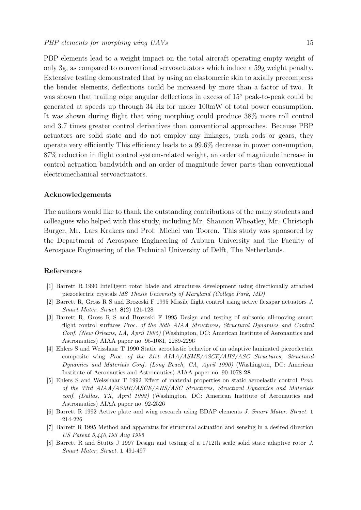PBP elements lead to a weight impact on the total aircraft operating empty weight of only 3g, as compared to conventional servoactuators which induce a 59g weight penalty. Extensive testing demonstrated that by using an elastomeric skin to axially precompress the bender elements, deflections could be increased by more than a factor of two. It was shown that trailing edge angular deflections in excess of 15° peak-to-peak could be generated at speeds up through 34 Hz for under 100mW of total power consumption. It was shown during flight that wing morphing could produce 38% more roll control and 3.7 times greater control derivatives than conventional approaches. Because PBP actuators are solid state and do not employ any linkages, push rods or gears, they operate very efficiently This efficiency leads to a 99.6% decrease in power consumption, 87% reduction in flight control system-related weight, an order of magnitude increase in control actuation bandwidth and an order of magnitude fewer parts than conventional electromechanical servoactuators.

#### Acknowledgements

The authors would like to thank the outstanding contributions of the many students and colleagues who helped with this study, including Mr. Shannon Wheatley, Mr. Christoph Burger, Mr. Lars Krakers and Prof. Michel van Tooren. This study was sponsored by the Department of Aerospace Engineering of Auburn University and the Faculty of Aerospace Engineering of the Technical University of Delft, The Netherlands.

#### References

- [1] Barrett R 1990 Intelligent rotor blade and structures development using directionally attached piezoelectric crystals MS Thesis University of Maryland (College Park, MD)
- [2] Barrett R, Gross R S and Brozoski F 1995 Missile flight control using active flexspar actuators J. Smart Mater. Struct. 8(2) 121-128
- [3] Barrett R, Gross R S and Brozoski F 1995 Design and testing of subsonic all-moving smart flight control surfaces Proc. of the 36th AIAA Structures, Structural Dynamics and Control Conf. (New Orleans, LA, April 1995) (Washington, DC: American Institute of Aeronautics and Astronautics) AIAA paper no. 95-1081, 2289-2296
- [4] Ehlers S and Weisshaar T 1990 Static aeroelastic behavior of an adaptive laminated piezoelectric composite wing Proc. of the 31st AIAA/ASME/ASCE/AHS/ASC Structures, Structural Dynamics and Materials Conf. (Long Beach, CA, April 1990) (Washington, DC: American Institute of Aeronautics and Astronautics) AIAA paper no. 90-1078 28
- [5] Ehlers S and Weisshaar T 1992 Effect of material properties on static aeroelastic control Proc. of the 33rd AIAA/ASME/ASCE/AHS/ASC Structures, Structural Dynamics and Materials conf. (Dallas, TX, April 1992) (Washington, DC: American Institute of Aeronautics and Astronautics) AIAA paper no. 92-2526
- [6] Barrett R 1992 Active plate and wing research using EDAP elements J. Smart Mater. Struct. 1 214-226
- [7] Barrett R 1995 Method and apparatus for structural actuation and sensing in a desired direction US Patent 5,440,193 Aug 1995
- [8] Barrett R and Stutts J 1997 Design and testing of a 1/12th scale solid state adaptive rotor J. Smart Mater. Struct. 1 491-497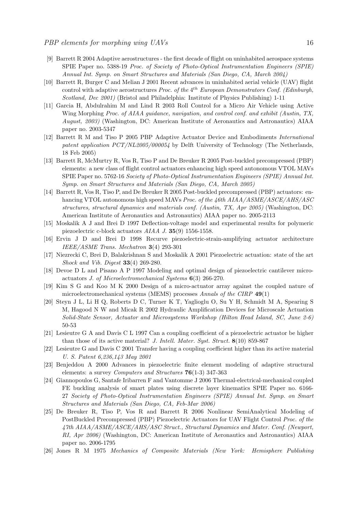- [9] Barrett R 2004 Adaptive aerostructures the first decade of flight on uninhabited aerospace systems SPIE Paper no. 5388-19 Proc. of Society of Photo-Optical Instrumentation Engineers (SPIE) Annual Int. Symp. on Smart Structures and Materials (San Diego, CA, March 2004)
- [10] Barrett R, Burger C and Melian J 2001 Recent advances in uninhabited aerial vehicle (UAV) flight control with adaptive aerostructures *Proc.* of the  $4^{th}$  European Demonstrators Conf. (Edinburgh, Scotland, Dec 2001) (Bristol and Philadelphia: Institute of Physics Publishing) 1-11
- [11] Garcia H, Abdulrahim M and Lind R 2003 Roll Control for a Micro Air Vehicle using Active Wing Morphing Proc. of AIAA guidance, navigation, and control conf. and exhibit (Austin, TX, August, 2003) (Washington, DC: American Institute of Aeronautics and Astronautics) AIAA paper no. 2003-5347
- [12] Barrett R M and Tiso P 2005 PBP Adaptive Actuator Device and Embodiments International patent application  $PCT/NL2005/000054$  by Delft University of Technology (The Netherlands, 18 Feb 2005)
- [13] Barrett R, McMurtry R, Vos R, Tiso P and De Breuker R 2005 Post-buckled precompressed (PBP) elements: a new class of flight control actuators enhancing high speed autonomous VTOL MAVs SPIE Paper no. 5762-16 Society of Photo-Optical Instrumentation Engineers (SPIE) Annual Int. Symp. on Smart Structures and Materials (San Diego, CA, March 2005)
- [14] Barrett R, Vos R, Tiso P, and De Breuker R 2005 Post-buckled precompressed (PBP) actuators: enhancing VTOL autonomous high speed MAVs Proc. of the 46th AIAA/ASME/ASCE/AHS/ASC structures, structural dynamics and materials conf. (Austin, TX, Apr 2005) (Washington, DC: American Institute of Aeronautics and Astronautics) AIAA paper no. 2005-2113
- [15] Moskalik A J and Brei D 1997 Deflection-voltage model and experimental results for polymeric piezoelectric c-block actuators AIAA J. 35(9) 1556-1558.
- [16] Ervin J D and Brei D 1998 Recurve piezoelectric-strain-amplifying actuator architecture IEEE/ASME Trans. Mechatron 3(4) 293-301
- [17] Niezrecki C, Brei D, Balakrishnan S and Moskalik A 2001 Piezoelectric actuation: state of the art Shock and Vib. Digest 33(4) 269-280.
- [18] Devoe D L and Pisano A P 1997 Modeling and optimal design of piezoelectric cantilever microactuators J. of Microelectromechanical Systems 6(3) 266-270.
- [19] Kim S G and Koo M K 2000 Design of a micro-actuator array against the coupled nature of microelectromechanical systems (MEMS) processes Annals of the CIRP 49(1)
- [20] Steyn J L, Li H Q, Roberts D C, Turner K T, Yaglioglu O, Su Y H, Schmidt M A, Spearing S M, Hagood N W and Micak R 2002 Hydraulic Amplification Devices for Microscale Actuation Solid-State Sensor, Actuator and Microsystems Workshop (Hilton Head Island, SC, June 2-6) 50-53
- [21] Lesieutre G A and Davis C L 1997 Can a coupling coefficient of a piezoelectric actuator be higher than those of its active material? J. Intell. Mater. Syst. Struct. 8(10) 859-867
- [22] Lesieutre G and Davis C 2001 Transfer having a coupling coefficient higher than its active material U. S. Patent 6,236,143 May 2001
- [23] Benjeddou A 2000 Advances in piezoelectric finite element modeling of adaptive structural elements: a survey Computers and Structures 76(1-3) 347-363
- [24] Giannopoulos G, Santafe Iribarren F and Vantomme J 2006 Thermal-electrical-mechanical coupled FE buckling analysis of smart plates using discrete layer kinematics SPIE Paper no. 6166- 27 Society of Photo-Optical Instrumentation Engineers (SPIE) Annual Int. Symp. on Smart Structures and Materials (San Diego, CA, Feb-Mar 2006)
- [25] De Breuker R, Tiso P, Vos R and Barrett R 2006 Nonlinear SemiAnalytical Modeling of PostBuckled Precompressed (PBP) Piezoelectric Actuators for UAV Flight Control Proc. of the 47th AIAA/ASME/ASCE/AHS/ASC Struct., Structural Dynamics and Mater. Conf. (Newport, RI, Apr 2006) (Washington, DC: American Institute of Aeronautics and Astronautics) AIAA paper no. 2006-1795
- [26] Jones R M 1975 Mechanics of Composite Materials (New York: Hemisphere Publishing